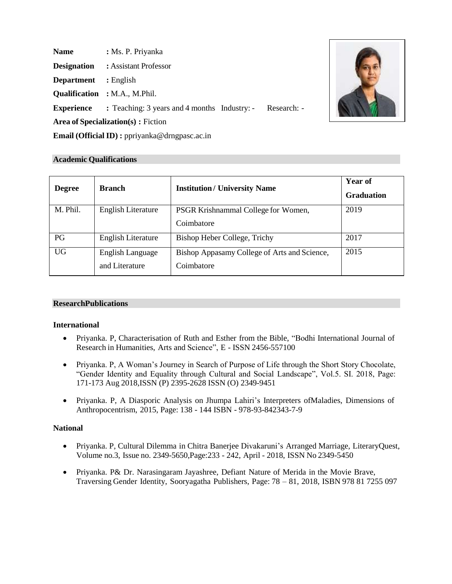| <b>Name</b>                                    | : Ms. P. Priyanka                                        |  |  |  |
|------------------------------------------------|----------------------------------------------------------|--|--|--|
| <b>Designation</b>                             | : Assistant Professor                                    |  |  |  |
| <b>Department</b>                              | $:$ English                                              |  |  |  |
|                                                | <b>Qualification</b> : M.A., M.Phil.                     |  |  |  |
| <b>Experience</b>                              | : Teaching: 3 years and 4 months Industry: - Research: - |  |  |  |
| <b>Area of Specialization(s):</b> Fiction      |                                                          |  |  |  |
| Email (Official ID) : ppriyanka@drngpasc.ac.in |                                                          |  |  |  |



### **Academic Qualifications**

| <b>Degree</b> | <b>Branch</b>                             | <b>Institution/ University Name</b>                        | <b>Year of</b><br><b>Graduation</b> |
|---------------|-------------------------------------------|------------------------------------------------------------|-------------------------------------|
| M. Phil.      | <b>English Literature</b>                 | PSGR Krishnammal College for Women,<br>Coimbatore          | 2019                                |
| PG            | <b>English Literature</b>                 | Bishop Heber College, Trichy                               | 2017                                |
| <b>UG</b>     | <b>English Language</b><br>and Literature | Bishop Appasamy College of Arts and Science,<br>Coimbatore | 2015                                |

#### **ResearchPublications**

#### **International**

- Priyanka. P, Characterisation of Ruth and Esther from the Bible, "Bodhi International Journal of Research in Humanities, Arts and Science", E - ISSN 2456-557100
- Priyanka. P, A Woman's Journey in Search of Purpose of Life through the Short Story Chocolate, "Gender Identity and Equality through Cultural and Social Landscape", Vol.5. SI. 2018, Page: 171-173 Aug 2018,ISSN (P) 2395-2628 ISSN (O) 2349-9451
- Priyanka. P, A Diasporic Analysis on Jhumpa Lahiri's Interpreters ofMaladies, Dimensions of Anthropocentrism, 2015, Page: 138 - 144 ISBN - 978-93-842343-7-9

#### **National**

- Priyanka. P, Cultural Dilemma in Chitra Banerjee Divakaruni's Arranged Marriage, LiteraryQuest, Volume no.3, Issue no. 2349-5650,Page:233 - 242, April - 2018, ISSN No 2349-5450
- Priyanka. P& Dr. Narasingaram Jayashree, Defiant Nature of Merida in the Movie Brave, Traversing Gender Identity, Sooryagatha Publishers, Page: 78 – 81, 2018, ISBN 978 81 7255 097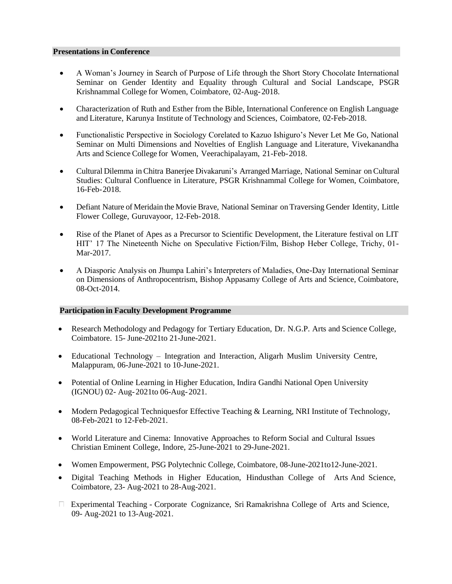#### **Presentations in Conference**

- A Woman's Journey in Search of Purpose of Life through the Short Story Chocolate International Seminar on Gender Identity and Equality through Cultural and Social Landscape, PSGR Krishnammal College for Women, Coimbatore, 02-Aug-2018.
- Characterization of Ruth and Esther from the Bible, International Conference on English Language and Literature, Karunya Institute of Technology and Sciences, Coimbatore, 02-Feb-2018.
- Functionalistic Perspective in Sociology Corelated to Kazuo Ishiguro's Never Let Me Go, National Seminar on Multi Dimensions and Novelties of English Language and Literature, Vivekanandha Arts and Science College for Women, Veerachipalayam, 21-Feb-2018.
- Cultural Dilemma in Chitra Banerjee Divakaruni's Arranged Marriage, National Seminar onCultural Studies: Cultural Confluence in Literature, PSGR Krishnammal College for Women, Coimbatore, 16-Feb-2018.
- Defiant Nature of Meridain the Movie Brave, National Seminar on Traversing Gender Identity, Little Flower College, Guruvayoor, 12-Feb-2018.
- Rise of the Planet of Apes as a Precursor to Scientific Development, the Literature festival on LIT HIT' 17 The Nineteenth Niche on Speculative Fiction/Film, Bishop Heber College, Trichy, 01- Mar-2017.
- A Diasporic Analysis on Jhumpa Lahiri's Interpreters of Maladies, One-Day International Seminar on Dimensions of Anthropocentrism, Bishop Appasamy College of Arts and Science, Coimbatore, 08-Oct-2014.

## **Participation in Faculty Development Programme**

- Research Methodology and Pedagogy for Tertiary Education, Dr. N.G.P. Arts and Science College, Coimbatore. 15- June-2021to 21-June-2021.
- Educational Technology Integration and Interaction, Aligarh Muslim University Centre, Malappuram, 06-June-2021 to 10-June-2021.
- Potential of Online Learning in Higher Education, Indira Gandhi National Open University (IGNOU) 02- Aug-2021to 06-Aug-2021.
- Modern Pedagogical Techniquesfor Effective Teaching & Learning, NRI Institute of Technology, 08-Feb-2021 to 12-Feb-2021.
- World Literature and Cinema: Innovative Approaches to Reform Social and Cultural Issues Christian Eminent College, Indore, 25-June-2021 to 29-June-2021.
- Women Empowerment, PSG Polytechnic College, Coimbatore, 08-June-2021 to12-June-2021.
- Digital Teaching Methods in Higher Education, Hindusthan College of Arts And Science, Coimbatore, 23- Aug-2021 to 28-Aug-2021.
- $\Box$  Experimental Teaching Corporate Cognizance, Sri Ramakrishna College of Arts and Science, 09- Aug-2021 to 13-Aug-2021.